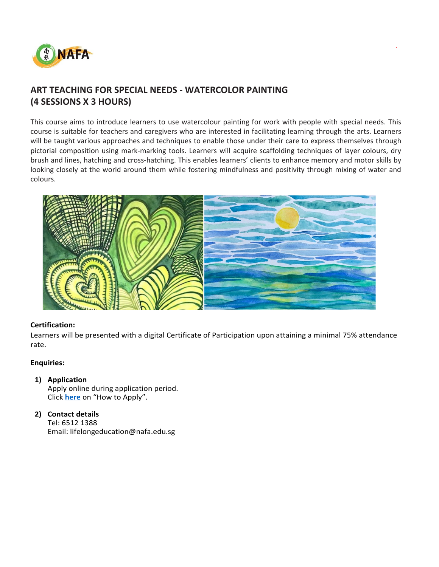

# **ART TEACHING FOR SPECIAL NEEDS - WATERCOLOR PAINTING (4 SESSIONS X 3 HOURS)**

This course aims to introduce learners to use watercolour painting for work with people with special needs. This course is suitable for teachers and caregivers who are interested in facilitating learning through the arts. Learners will be taught various approaches and techniques to enable those under their care to express themselves through pictorial composition using mark-marking tools. Learners will acquire scaffolding techniques of layer colours, dry brush and lines, hatching and cross-hatching. This enables learners' clients to enhance memory and motor skills by looking closely at the world around them while fostering mindfulness and positivity through mixing of water and colours.

.



### **Certification:**

Learners will be presented with a digital Certificate of Participation upon attaining a minimal 75% attendance rate.

### **Enquiries:**

### **1) Application**

Apply online during application period. Click **[here](https://www.nafa.edu.sg/courses/part-time/short-courses#collapseFive)** on "How to Apply".

## **2) Contact details**

Tel: 6512 1388 Email: lifelongeducation@nafa.edu.sg